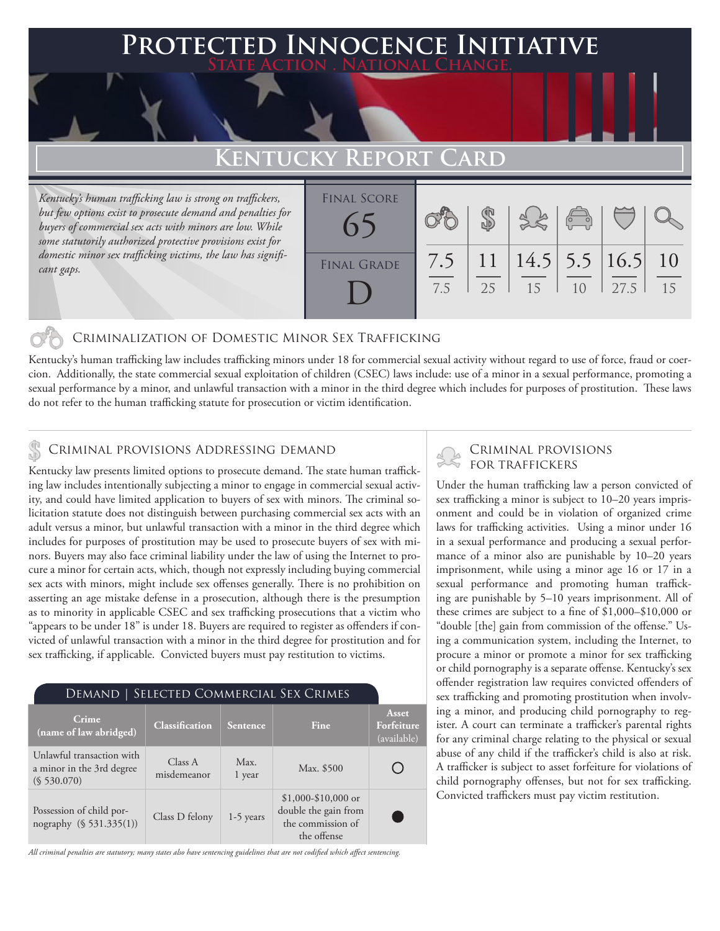# **PTED INNOCENCE INITIATIVE State Action . National Change.**

# **Kentucky Report Card**

*Kentucky's human trafficking law is strong on traffickers, but few options exist to prosecute demand and penalties for buyers of commercial sex acts with minors are low. While some statutorily authorized protective provisions exist for domestic minor sex trafficking victims, the law has significant gaps.*

| <b>FINAL SCORE</b> |            |                       |                       | $38 - 1$ |      |          |
|--------------------|------------|-----------------------|-----------------------|----------|------|----------|
| <b>FINAL GRADE</b> | 7.5<br>7.5 | 11<br>25 <sup>2</sup> | $14.5$ 5.5 16.5<br>15 | 10       | 27.5 | 10<br>15 |

### Criminalization of Domestic Minor Sex Trafficking

Kentucky's human trafficking law includes trafficking minors under 18 for commercial sexual activity without regard to use of force, fraud or coercion. Additionally, the state commercial sexual exploitation of children (CSEC) laws include: use of a minor in a sexual performance, promoting a sexual performance by a minor, and unlawful transaction with a minor in the third degree which includes for purposes of prostitution. These laws do not refer to the human trafficking statute for prosecution or victim identification.

## Criminal provisions Addressing demand

Kentucky law presents limited options to prosecute demand. The state human trafficking law includes intentionally subjecting a minor to engage in commercial sexual activity, and could have limited application to buyers of sex with minors. The criminal solicitation statute does not distinguish between purchasing commercial sex acts with an adult versus a minor, but unlawful transaction with a minor in the third degree which includes for purposes of prostitution may be used to prosecute buyers of sex with minors. Buyers may also face criminal liability under the law of using the Internet to procure a minor for certain acts, which, though not expressly including buying commercial sex acts with minors, might include sex offenses generally. There is no prohibition on asserting an age mistake defense in a prosecution, although there is the presumption as to minority in applicable CSEC and sex trafficking prosecutions that a victim who "appears to be under 18" is under 18. Buyers are required to register as offenders if convicted of unlawful transaction with a minor in the third degree for prostitution and for sex trafficking, if applicable. Convicted buyers must pay restitution to victims.

#### Demand | Selected Commercial Sex Crimes

| Crime<br>(name of law abridged)                                       | <b>Classification</b>  | Sentence       | Fine                                                                             | Asset<br>Forfeiture<br>(available) |
|-----------------------------------------------------------------------|------------------------|----------------|----------------------------------------------------------------------------------|------------------------------------|
| Unlawful transaction with<br>a minor in the 3rd degree<br>(S 530.070) | Class A<br>misdemeanor | Max.<br>1 year | Max. \$500                                                                       |                                    |
| Possession of child por-<br>nography (§ 531.335(1))                   | Class D felony         | $1-5$ years    | $$1,000-\$10,000$ or<br>double the gain from<br>the commission of<br>the offense |                                    |

*All criminal penalties are statutory; many states also have sentencing guidelines that are not codified which affect sentencing.* 

# Criminal provisions

Under the human trafficking law a person convicted of sex trafficking a minor is subject to 10–20 years imprisonment and could be in violation of organized crime laws for trafficking activities. Using a minor under 16 in a sexual performance and producing a sexual performance of a minor also are punishable by 10–20 years imprisonment, while using a minor age 16 or 17 in a sexual performance and promoting human trafficking are punishable by 5–10 years imprisonment. All of these crimes are subject to a fine of \$1,000–\$10,000 or "double [the] gain from commission of the offense." Using a communication system, including the Internet, to procure a minor or promote a minor for sex trafficking or child pornography is a separate offense. Kentucky's sex offender registration law requires convicted offenders of sex trafficking and promoting prostitution when involving a minor, and producing child pornography to register. A court can terminate a trafficker's parental rights for any criminal charge relating to the physical or sexual abuse of any child if the trafficker's child is also at risk. A trafficker is subject to asset forfeiture for violations of child pornography offenses, but not for sex trafficking. Convicted traffickers must pay victim restitution.